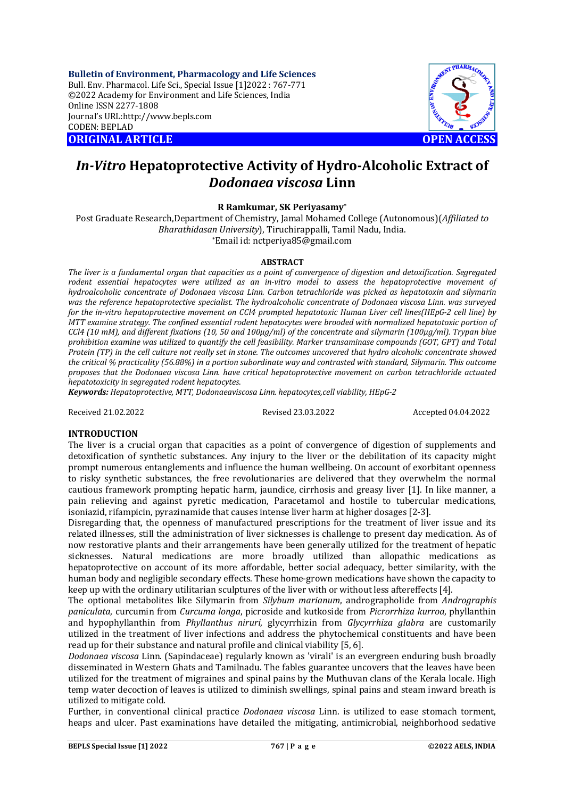**Bulletin of Environment, Pharmacology and Life Sciences** Bull. Env. Pharmacol. Life Sci., Special Issue [1]2022 : 767-771 ©2022 Academy for Environment and Life Sciences, India Online ISSN 2277-1808 Journal's URL:<http://www.bepls.com> CODEN: BEPLAD **ORIGINAL ARTICLE OPEN ACCESS** 



# *In-Vitro* **Hepatoprotective Activity of Hydro-Alcoholic Extract of**  *Dodonaea viscosa* **Linn**

**R Ramkumar, SK Periyasamy\***

Post Graduate Research,Department of Chemistry, Jamal Mohamed College (Autonomous)(*Affiliated to Bharathidasan University*), Tiruchirappalli, Tamil Nadu, India. \*Email id: [nctperiya85@gmail.com](mailto:nctperiya85@gmail.com)

#### **ABSTRACT**

*The liver is a fundamental organ that capacities as a point of convergence of digestion and detoxification. Segregated rodent essential hepatocytes were utilized as an in-vitro model to assess the hepatoprotective movement of hydroalcoholic concentrate of Dodonaea viscosa Linn. Carbon tetrachloride was picked as hepatotoxin and silymarin was the reference hepatoprotective specialist. The hydroalcoholic concentrate of Dodonaea viscosa Linn. was surveyed for the in-vitro hepatoprotective movement on CCl4 prompted hepatotoxic Human Liver cell lines(HEpG-2 cell line) by MTT examine strategy. The confined essential rodent hepatocytes were brooded with normalized hepatotoxic portion of CCl4 (10 mM), and different fixations (10, 50 and 100μg/ml) of the concentrate and silymarin (100μg/ml). Trypan blue prohibition examine was utilized to quantify the cell feasibility. Marker transaminase compounds (GOT, GPT) and Total Protein (TP) in the cell culture not really set in stone. The outcomes uncovered that hydro alcoholic concentrate showed the critical % practicality (56.88%) in a portion subordinate way and contrasted with standard, Silymarin. This outcome proposes that the Dodonaea viscosa Linn. have critical hepatoprotective movement on carbon tetrachloride actuated hepatotoxicity in segregated rodent hepatocytes*.

*Keywords: Hepatoprotective, MTT, Dodonaeaviscosa Linn. hepatocytes,cell viability, HEpG-2*

Received 21.02.2022 Revised 23.03.2022 Accepted 04.04.2022

#### **INTRODUCTION**

The liver is a crucial organ that capacities as a point of convergence of digestion of supplements and detoxification of synthetic substances. Any injury to the liver or the debilitation of its capacity might prompt numerous entanglements and influence the human wellbeing. On account of exorbitant openness to risky synthetic substances, the free revolutionaries are delivered that they overwhelm the normal cautious framework prompting hepatic harm, jaundice, cirrhosis and greasy liver [1]. In like manner, a pain relieving and against pyretic medication, Paracetamol and hostile to tubercular medications, isoniazid, rifampicin, pyrazinamide that causes intense liver harm at higher dosages [2-3].

Disregarding that, the openness of manufactured prescriptions for the treatment of liver issue and its related illnesses, still the administration of liver sicknesses is challenge to present day medication. As of now restorative plants and their arrangements have been generally utilized for the treatment of hepatic sicknesses. Natural medications are more broadly utilized than allopathic medications as hepatoprotective on account of its more affordable, better social adequacy, better similarity, with the human body and negligible secondary effects. These home-grown medications have shown the capacity to keep up with the ordinary utilitarian sculptures of the liver with or without less aftereffects [4].

The optional metabolites like Silymarin from *Silybum marianum*, andrographolide from *Andrographis paniculata*, curcumin from *Curcuma longa*, picroside and kutkoside from *Picrorrhiza kurroa*, phyllanthin and hypophyllanthin from *Phyllanthus niruri*, glycyrrhizin from *Glycyrrhiza glabra* are customarily utilized in the treatment of liver infections and address the phytochemical constituents and have been read up for their substance and natural profile and clinical viability [5, 6].

*Dodonaea viscosa* Linn. (Sapindaceae) regularly known as 'virali' is an evergreen enduring bush broadly disseminated in Western Ghats and Tamilnadu. The fables guarantee uncovers that the leaves have been utilized for the treatment of migraines and spinal pains by the Muthuvan clans of the Kerala locale. High temp water decoction of leaves is utilized to diminish swellings, spinal pains and steam inward breath is utilized to mitigate cold.

Further, in conventional clinical practice *Dodonaea viscosa* Linn. is utilized to ease stomach torment, heaps and ulcer. Past examinations have detailed the mitigating, antimicrobial, neighborhood sedative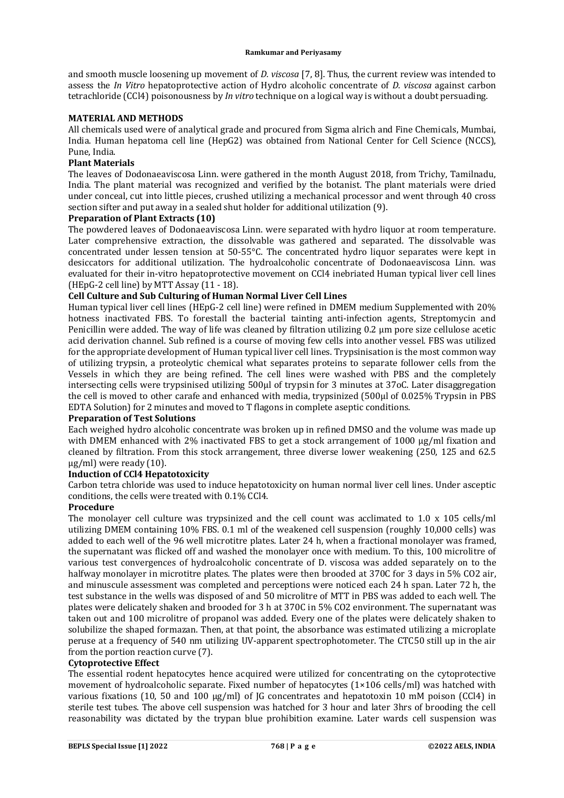and smooth muscle loosening up movement of *D. viscosa* [7, 8]. Thus, the current review was intended to assess the *In Vitro* hepatoprotective action of Hydro alcoholic concentrate of *D. viscosa* against carbon tetrachloride (CCl4) poisonousness by *In vitro* technique on a logical way is without a doubt persuading.

#### **MATERIAL AND METHODS**

All chemicals used were of analytical grade and procured from Sigma alrich and Fine Chemicals, Mumbai, India. Human hepatoma cell line (HepG2) was obtained from National Center for Cell Science (NCCS), Pune, India.

## **Plant Materials**

The leaves of Dodonaeaviscosa Linn. were gathered in the month August 2018, from Trichy, Tamilnadu, India. The plant material was recognized and verified by the botanist. The plant materials were dried under conceal, cut into little pieces, crushed utilizing a mechanical processor and went through 40 cross section sifter and put away in a sealed shut holder for additional utilization (9).

#### **Preparation of Plant Extracts (10)**

The powdered leaves of Dodonaeaviscosa Linn. were separated with hydro liquor at room temperature. Later comprehensive extraction, the dissolvable was gathered and separated. The dissolvable was concentrated under lessen tension at 50-55°C. The concentrated hydro liquor separates were kept in desiccators for additional utilization. The hydroalcoholic concentrate of Dodonaeaviscosa Linn. was evaluated for their in-vitro hepatoprotective movement on CCl4 inebriated Human typical liver cell lines (HEpG-2 cell line) by MTT Assay (11 - 18).

## **Cell Culture and Sub Culturing of Human Normal Liver Cell Lines**

Human typical liver cell lines (HEpG-2 cell line) were refined in DMEM medium Supplemented with 20% hotness inactivated FBS. To forestall the bacterial tainting anti-infection agents, Streptomycin and Penicillin were added. The way of life was cleaned by filtration utilizing 0.2 μm pore size cellulose acetic acid derivation channel. Sub refined is a course of moving few cells into another vessel. FBS was utilized for the appropriate development of Human typical liver cell lines. Trypsinisation is the most common way of utilizing trypsin, a proteolytic chemical what separates proteins to separate follower cells from the Vessels in which they are being refined. The cell lines were washed with PBS and the completely intersecting cells were trypsinised utilizing 500μl of trypsin for 3 minutes at 37oC. Later disaggregation the cell is moved to other carafe and enhanced with media, trypsinized (500μl of 0.025% Trypsin in PBS EDTA Solution) for 2 minutes and moved to T flagons in complete aseptic conditions.

#### **Preparation of Test Solutions**

Each weighed hydro alcoholic concentrate was broken up in refined DMSO and the volume was made up with DMEM enhanced with 2% inactivated FBS to get a stock arrangement of 1000 μg/ml fixation and cleaned by filtration. From this stock arrangement, three diverse lower weakening (250, 125 and 62.5 μg/ml) were ready (10).

## **Induction of CCl4 Hepatotoxicity**

Carbon tetra chloride was used to induce hepatotoxicity on human normal liver cell lines. Under asceptic conditions, the cells were treated with 0.1% CCl4.

#### **Procedure**

The monolayer cell culture was trypsinized and the cell count was acclimated to 1.0 x 105 cells/ml utilizing DMEM containing 10% FBS. 0.1 ml of the weakened cell suspension (roughly 10,000 cells) was added to each well of the 96 well microtitre plates. Later 24 h, when a fractional monolayer was framed, the supernatant was flicked off and washed the monolayer once with medium. To this, 100 microlitre of various test convergences of hydroalcoholic concentrate of D. viscosa was added separately on to the halfway monolayer in microtitre plates. The plates were then brooded at 370C for 3 days in 5% CO2 air, and minuscule assessment was completed and perceptions were noticed each 24 h span. Later 72 h, the test substance in the wells was disposed of and 50 microlitre of MTT in PBS was added to each well. The plates were delicately shaken and brooded for 3 h at 370C in 5% CO2 environment. The supernatant was taken out and 100 microlitre of propanol was added. Every one of the plates were delicately shaken to solubilize the shaped formazan. Then, at that point, the absorbance was estimated utilizing a microplate peruse at a frequency of 540 nm utilizing UV-apparent spectrophotometer. The CTC50 still up in the air from the portion reaction curve (7).

#### **Cytoprotective Effect**

The essential rodent hepatocytes hence acquired were utilized for concentrating on the cytoprotective movement of hydroalcoholic separate. Fixed number of hepatocytes (1×106 cells/ml) was hatched with various fixations (10, 50 and 100 μg/ml) of JG concentrates and hepatotoxin 10 mM poison (CCl4) in sterile test tubes. The above cell suspension was hatched for 3 hour and later 3hrs of brooding the cell reasonability was dictated by the trypan blue prohibition examine. Later wards cell suspension was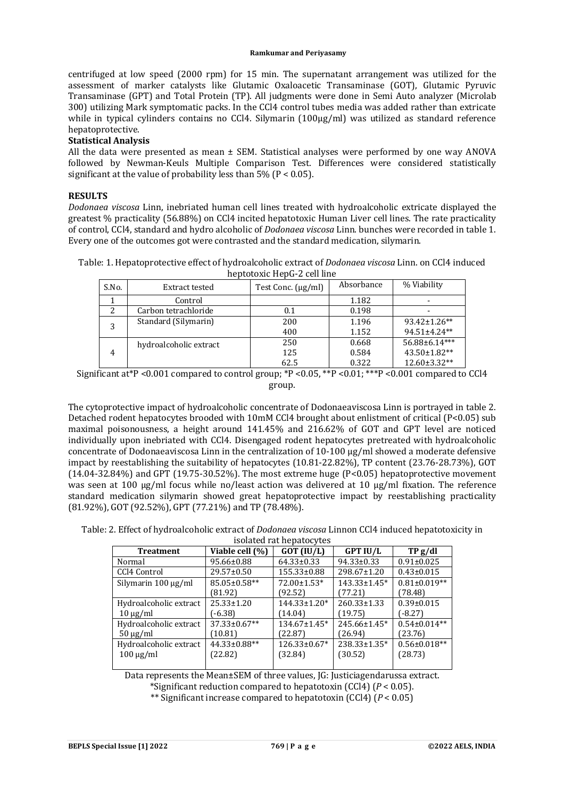centrifuged at low speed (2000 rpm) for 15 min. The supernatant arrangement was utilized for the assessment of marker catalysts like Glutamic Oxaloacetic Transaminase (GOT), Glutamic Pyruvic Transaminase (GPT) and Total Protein (TP). All judgments were done in Semi Auto analyzer (Microlab 300) utilizing Mark symptomatic packs. In the CCl4 control tubes media was added rather than extricate while in typical cylinders contains no CCl4. Silymarin (100μg/ml) was utilized as standard reference hepatoprotective.

## **Statistical Analysis**

All the data were presented as mean  $\pm$  SEM. Statistical analyses were performed by one way ANOVA followed by Newman-Keuls Multiple Comparison Test. Differences were considered statistically significant at the value of probability less than  $5\%$  (P < 0.05).

## **RESULTS**

*Dodonaea viscosa* Linn, inebriated human cell lines treated with hydroalcoholic extricate displayed the greatest % practicality (56.88%) on CCl4 incited hepatotoxic Human Liver cell lines. The rate practicality of control, CCl4, standard and hydro alcoholic of *Dodonaea viscosa* Linn. bunches were recorded in table 1. Every one of the outcomes got were contrasted and the standard medication, silymarin.

Table: 1. Hepatoprotective effect of hydroalcoholic extract of *Dodonaea viscosa* Linn. on CCl4 induced heptotoxic HepG-2 cell line

| S.No. | Extract tested         | Test Conc. (µg/ml) | Absorbance | % Viability         |
|-------|------------------------|--------------------|------------|---------------------|
|       | Control                |                    | 1.182      |                     |
| 2     | Carbon tetrachloride   | 0.1                | 0.198      |                     |
| 3     | Standard (Silymarin)   | 200                | 1.196      | $93.42 \pm 1.26$ ** |
|       |                        | 400                | 1.152      | 94.51±4.24**        |
| 4     | hydroalcoholic extract | 250                | 0.668      | 56.88±6.14***       |
|       |                        | 125                | 0.584      | 43.50±1.82**        |
|       |                        | 62.5               | 0.322      | 12.60±3.32**        |

Significant at\*P <0.001 compared to control group; \*P <0.05, \*\*P <0.01; \*\*\*P <0.001 compared to CCl4 group.

The cytoprotective impact of hydroalcoholic concentrate of Dodonaeaviscosa Linn is portrayed in table 2. Detached rodent hepatocytes brooded with 10mM CCl4 brought about enlistment of critical (P<0.05) sub maximal poisonousness, a height around 141.45% and 216.62% of GOT and GPT level are noticed individually upon inebriated with CCl4. Disengaged rodent hepatocytes pretreated with hydroalcoholic concentrate of Dodonaeaviscosa Linn in the centralization of 10-100 μg/ml showed a moderate defensive impact by reestablishing the suitability of hepatocytes (10.81-22.82%), TP content (23.76-28.73%), GOT (14.04-32.84%) and GPT (19.75-30.52%). The most extreme huge (P<0.05) hepatoprotective movement was seen at 100 μg/ml focus while no/least action was delivered at 10 μg/ml fixation. The reference standard medication silymarin showed great hepatoprotective impact by reestablishing practicality (81.92%), GOT (92.52%), GPT (77.21%) and TP (78.48%).

Table: 2. Effect of hydroalcoholic extract of *Dodonaea viscosa* Linnon CCl4 induced hepatotoxicity in

| isolated rat hepatocytes |                    |                     |                   |                    |  |  |  |
|--------------------------|--------------------|---------------------|-------------------|--------------------|--|--|--|
| <b>Treatment</b>         | Viable cell (%)    | $GOT$ (IU/L)        | <b>GPT IU/L</b>   | TPg/dl             |  |  |  |
| Normal                   | 95.66±0.88         | 64.33±0.33          | 94.33±0.33        | $0.91 \pm 0.025$   |  |  |  |
| CCl4 Control             | 29.57±0.50         | 155.33±0.88         | 298.67±1.20       | $0.43 \pm 0.015$   |  |  |  |
| Silymarin $100 \mu g/ml$ | 85.05±0.58**       | 72.00±1.53*         | 143.33±1.45*      | $0.81 \pm 0.019**$ |  |  |  |
|                          | (81.92)            | (92.52)             | (77.21)           | (78.48)            |  |  |  |
| Hydroalcoholic extract   | $25.33 \pm 1.20$   | 144.33±1.20*        | $260.33 \pm 1.33$ | $0.39 \pm 0.015$   |  |  |  |
| $10 \mu g/ml$            | $(-6.38)$          | (14.04)             | (19.75)           | (-8.27)            |  |  |  |
| Hydroalcoholic extract   | $37.33 \pm 0.67**$ | $134.67 \pm 1.45^*$ | 245.66±1.45*      | $0.54\pm0.014**$   |  |  |  |
| $50 \mu g/ml$            | (10.81)            | (22.87)             | (26.94)           | (23.76)            |  |  |  |
| Hydroalcoholic extract   | 44.33±0.88**       | $126.33 \pm 0.67$ * | 238.33±1.35*      | $0.56 \pm 0.018**$ |  |  |  |
| $100 \mu g/ml$           | (22.82)            | (32.84)             | (30.52)           | (28.73)            |  |  |  |

Data represents the Mean±SEM of three values, JG: Justiciagendarussa extract.

\*Significant reduction compared to hepatotoxin (CCl4) (*P* < 0.05).

\*\* Significant increase compared to hepatotoxin (CCl4) (*P* < 0.05)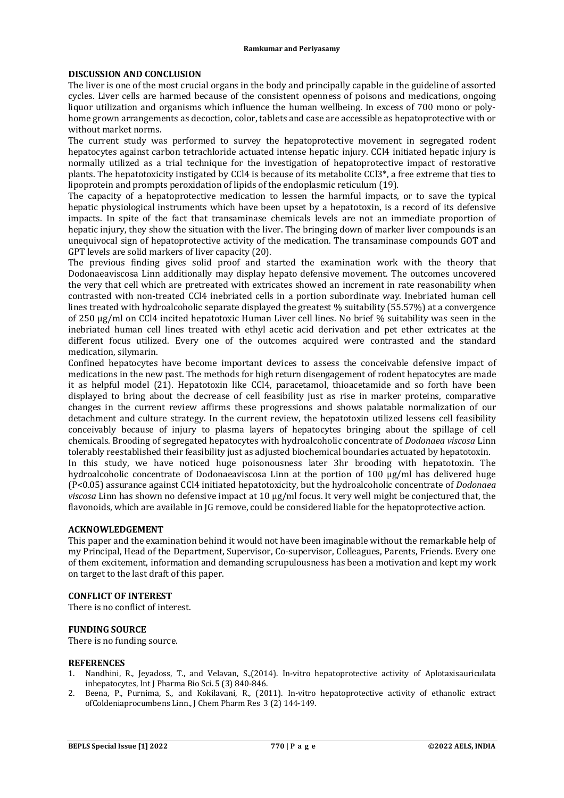#### **DISCUSSION AND CONCLUSION**

The liver is one of the most crucial organs in the body and principally capable in the guideline of assorted cycles. Liver cells are harmed because of the consistent openness of poisons and medications, ongoing liquor utilization and organisms which influence the human wellbeing. In excess of 700 mono or polyhome grown arrangements as decoction, color, tablets and case are accessible as hepatoprotective with or without market norms.

The current study was performed to survey the hepatoprotective movement in segregated rodent hepatocytes against carbon tetrachloride actuated intense hepatic injury. CCl4 initiated hepatic injury is normally utilized as a trial technique for the investigation of hepatoprotective impact of restorative plants. The hepatotoxicity instigated by CCl4 is because of its metabolite CCl3\*, a free extreme that ties to lipoprotein and prompts peroxidation of lipids of the endoplasmic reticulum (19).

The capacity of a hepatoprotective medication to lessen the harmful impacts, or to save the typical hepatic physiological instruments which have been upset by a hepatotoxin, is a record of its defensive impacts. In spite of the fact that transaminase chemicals levels are not an immediate proportion of hepatic injury, they show the situation with the liver. The bringing down of marker liver compounds is an unequivocal sign of hepatoprotective activity of the medication. The transaminase compounds GOT and GPT levels are solid markers of liver capacity (20).

The previous finding gives solid proof and started the examination work with the theory that Dodonaeaviscosa Linn additionally may display hepato defensive movement. The outcomes uncovered the very that cell which are pretreated with extricates showed an increment in rate reasonability when contrasted with non-treated CCl4 inebriated cells in a portion subordinate way. Inebriated human cell lines treated with hydroalcoholic separate displayed the greatest % suitability (55.57%) at a convergence of 250 μg/ml on CCl4 incited hepatotoxic Human Liver cell lines. No brief % suitability was seen in the inebriated human cell lines treated with ethyl acetic acid derivation and pet ether extricates at the different focus utilized. Every one of the outcomes acquired were contrasted and the standard medication, silymarin.

Confined hepatocytes have become important devices to assess the conceivable defensive impact of medications in the new past. The methods for high return disengagement of rodent hepatocytes are made it as helpful model (21). Hepatotoxin like CCl4, paracetamol, thioacetamide and so forth have been displayed to bring about the decrease of cell feasibility just as rise in marker proteins, comparative changes in the current review affirms these progressions and shows palatable normalization of our detachment and culture strategy. In the current review, the hepatotoxin utilized lessens cell feasibility conceivably because of injury to plasma layers of hepatocytes bringing about the spillage of cell chemicals. Brooding of segregated hepatocytes with hydroalcoholic concentrate of *Dodonaea viscosa* Linn tolerably reestablished their feasibility just as adjusted biochemical boundaries actuated by hepatotoxin.

In this study, we have noticed huge poisonousness later 3hr brooding with hepatotoxin. The hydroalcoholic concentrate of Dodonaeaviscosa Linn at the portion of 100 μg/ml has delivered huge (P<0.05) assurance against CCl4 initiated hepatotoxicity, but the hydroalcoholic concentrate of *Dodonaea viscosa* Linn has shown no defensive impact at 10 μg/ml focus. It very well might be conjectured that, the flavonoids, which are available in JG remove, could be considered liable for the hepatoprotective action.

#### **ACKNOWLEDGEMENT**

This paper and the examination behind it would not have been imaginable without the remarkable help of my Principal, Head of the Department, Supervisor, Co-supervisor, Colleagues, Parents, Friends. Every one of them excitement, information and demanding scrupulousness has been a motivation and kept my work on target to the last draft of this paper.

## **CONFLICT OF INTEREST**

There is no conflict of interest.

## **FUNDING SOURCE**

There is no funding source.

#### **REFERENCES**

- 1. Nandhini, R., Jeyadoss, T., and Velavan, S.,(2014). In-vitro hepatoprotective activity of Aplotaxisauriculata inhepatocytes, Int J Pharma Bio Sci. 5 (3) 840-846.
- 2. Beena, P., Purnima, S., and Kokilavani, R., (2011). In-vitro hepatoprotective activity of ethanolic extract ofColdeniaprocumbens Linn., J Chem Pharm Res 3 (2) 144-149.